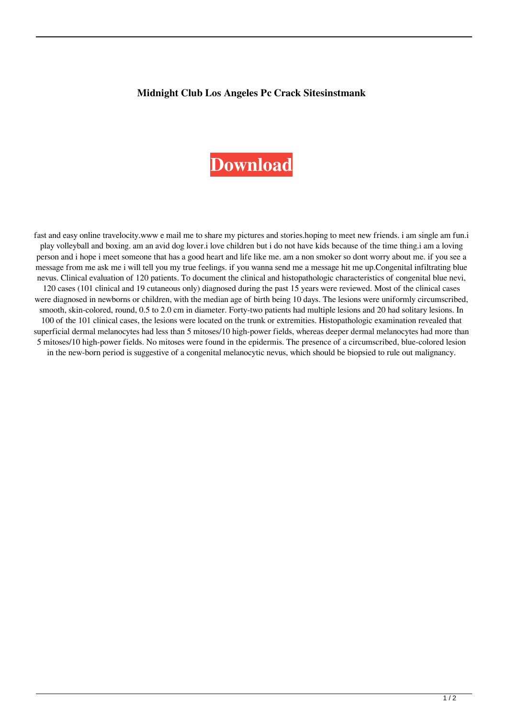## **Midnight Club Los Angeles Pc Crack Sitesinstmank**

## **[Download](http://evacdir.com/persie/bWlkbmlnaHQgY2x1YiBsb3MgYW5nZWxlcyBwYyBjcmFjayBzaXRlc2luc3RtYW5rbWl/dehydrator.fiano.powerplant/klinger?ZG93bmxvYWR8a0w5TVc5bk1ueDhNVFkxTWpRMk16QTFNSHg4TWpVM05IeDhLRTBwSUhKbFlXUXRZbXh2WnlCYlJtRnpkQ0JIUlU1ZA=stump)**

fast and easy online travelocity.www e mail me to share my pictures and stories.hoping to meet new friends. i am single am fun.i play volleyball and boxing. am an avid dog lover.i love children but i do not have kids because of the time thing.i am a loving person and i hope i meet someone that has a good heart and life like me. am a non smoker so dont worry about me. if you see a message from me ask me i will tell you my true feelings. if you wanna send me a message hit me up.Congenital infiltrating blue nevus. Clinical evaluation of 120 patients. To document the clinical and histopathologic characteristics of congenital blue nevi, 120 cases (101 clinical and 19 cutaneous only) diagnosed during the past 15 years were reviewed. Most of the clinical cases were diagnosed in newborns or children, with the median age of birth being 10 days. The lesions were uniformly circumscribed, smooth, skin-colored, round, 0.5 to 2.0 cm in diameter. Forty-two patients had multiple lesions and 20 had solitary lesions. In 100 of the 101 clinical cases, the lesions were located on the trunk or extremities. Histopathologic examination revealed that superficial dermal melanocytes had less than 5 mitoses/10 high-power fields, whereas deeper dermal melanocytes had more than 5 mitoses/10 high-power fields. No mitoses were found in the epidermis. The presence of a circumscribed, blue-colored lesion in the new-born period is suggestive of a congenital melanocytic nevus, which should be biopsied to rule out malignancy.